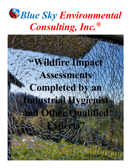

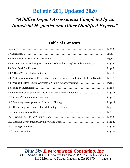### *"Wildfire Impact Assessments Completed by an Industrial Hygienist and Other Qualified Experts"*

#### **Table of Contents:**

|                                                                                           | Page 2  |
|-------------------------------------------------------------------------------------------|---------|
|                                                                                           | Page 3  |
|                                                                                           | Page 4  |
| 3.0 What is an Industrial Hygienist and their Role in the Workplace and Community?        | Page 5  |
|                                                                                           | Page 5  |
|                                                                                           | Page 6  |
| 6.0 What Situations May Be Present that Require Hiring an IH and Other Qualified Experts? | Page 7  |
| 7.0 When is the Best Time to Complete a Wildfire Impact Assessment?                       | Page 9  |
|                                                                                           | Page 9  |
|                                                                                           | Page 11 |
|                                                                                           | Page 13 |
|                                                                                           | Page 17 |
|                                                                                           | Page 18 |
|                                                                                           | Page 19 |
|                                                                                           | Page 20 |
|                                                                                           | Page 22 |
|                                                                                           | Page 27 |
|                                                                                           | Page 28 |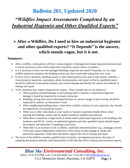### *"Wildfire Impact Assessments Completed by an Industrial Hygienist and Other Qualified Experts"*

### ➢**After a Wildfire, Do I need to hire an industrial hygienist and other qualified experts? "It Depends" is the answer, which sounds vague, but it is not.**

#### **Summary:**

- After a wildfire, communities will have various degrees of damaged and smoke impacted structures and it may be necessary to have them inspected or tested by experts before occupancy.
- It is it necessary to have non-fire damaged buildings inspected and tested? Generally, no. In a light wildfire impaction situation, the building owners may feel comfortable doing their own work.
- In more severe situations, building owners or their representative may need to hire experts. Initially, a visual property inspection, assessment, photo documentation, and report written by qualified experts should be sufficient to document property and content damage and identify the means and methods of cleanup and repair.
- A few situations may require inspection by experts. These include, but are not limited to:
	- ➢ When property around buildings or the building itself is charred or experienced high heat damage it should be inspected by licensed contractors.
	- ➢ Buildings having their power interrupted because of a power outage or burnt wiring, should be inspected by utilities, an electrician or both.
	- $\triangleright$  When neighboring buildings burnt, where there could be a release of toxic materials, they should be inspected by environmental experts.
	- ➢ When you or other individuals in your family or business experience health effects when entering the building, surface and air quality should be sampled and analyzed.
	- $\triangleright$  When there is moderate to high levels of smoke and/or particulate impaction in the building, attic insulation and HVAC system, an industrial hygienist and other qualified experts should inspect the property and determine if sampling is necessary.
	- $\triangleright$  When there is an increase in risk or liability, materially interested parties (e.g., mortgage, insurer, CPA) may require independent verification of the extent of heat damage or smoke and particulate impaction, where their documents support the cost of cleanup and repair.
- The focus of this bulletin examines qualifications of experts, investigation processes, the types of sampling and analysis methods, and interpretation of lab data that drives cleanup and restoration reports.

### *Blue Sky Environmental Consulting, Inc.*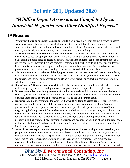## *"Wildfire Impact Assessments Completed by an Industrial Hygienist and Other Qualified Experts"*

#### **1.0 Discussion:**

- 1. **When your home or business was near or next to a wildfire**, likely, your community was impacted with smoke, soot, char, and ash. If you had to evacuate, your first thought on returning may be something like, 1) do I have a home or business to return to, then, 2) how much damage do I have, and then, 3) is it healthy for me, my family, or workers to occupy the building?
- 2. **Wildfire wind-driven storms impacting communities,** create heat and forced pressures equal to a hurricane. Besides damaging the roof and exterior, even when the building is tightly sealed, a form of back drafting (a rapid force of heated air pressure entering the building) can occur, entering roof and attic vents, HVAC systems, fireplace chimneys, bathroom and kitchen vents, and crawlspaces, leaving behind smoke, soot, char, ash, organic and inorganic matter. Non-hurricane force winds can also penetrate door and window seals, leaving in its path smoke and wildfire particulate.
- 3. **There are numerous articles available by government and the insurance and restoration industry,** that provide guidance to building owners. Subjects cover topics about your health and safety to cleaning the exterior and interior and contents. Complete an internet search, or contact our company for a list, which is several pages long.
- 4. **If you "are not" filing an insurance claim,** this likely means you are completing light debris removal and cleanup on your own or having someone that you know who is qualified to complete work.
- 5. **If there are moderate to heavy amounts of smoke and debris,** which requires the removal of smoke, soot, ash, the cleanup of the exterior and interior, or the structure is heat damaged, it is important to hire qualified independent experts and contractors, as well as file an insurance claim.
- 6. **Documentation is everything in today's world of wildfire damage assessments.** After the wildfire, collect news articles about the wildfire damage that impacts your community, including reports by government leaders who promise assistance. As soon as possible, take photos and videos of burnt neighboring buildings, even if they are blocks away, including charred acreage, hills, and valleys. Take distant and closeup photos and videos of your property. Closeup photos and videos are those that show wind-driven damage, such as roofing shingles and tiles laying on the ground; heat damage to the property including char, melting, scorching, blistering, and peeling; the build-up of ash in the yard, pool, and against the building; and particulate matter brought into the building by strong winds impacting the interior and personal possessions.
- 7. **Some of the best experts do not take enough photos to describe everything that occurred at your property.** Numerous times over my career, the photo I should have taken is missing. A year ago, our company invested extensively in specialized 2-D and 3-D camera equipment, training, and certification, where we no longer miss documenting a wildfire loss correctly, including, when required, laser measuring the interior square feet, windows and cabinets. The 2-D and 3-D scanning process also documents the location of furniture, appliances, antiques, musical instruments, collections, and fine art.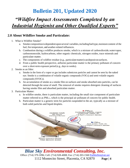## *"Wildfire Impact Assessments Completed by an Industrial Hygienist and Other Qualified Experts"*

#### **2.0 About Wildfire Smoke and Particulate:**

- 1. What is Wildfire Smoke?
	- a. Smoke composition is dependent upon several variables, including fueltype, moisture content of the fuel, fire temperature, and weather-related influences.
	- b. Combustion during a wildfire produces smoke, which is a mixture of carbondioxide,watervapor, carbonmonoxide, hydrocarbons, other organic chemicals, nitrogen oxides, trace minerals and particulate matter.
	- c. The components of wildfire residue (e.g., particulatematter) candepositonsurfaces.
	- d. From a public health perspective, airborne particulate matter is the primary pollutant of concern over a short-term exposure period (e.g., days to weeks).
- 2. Smoke as an Odor:
	- a. Smoke in the form of a vapor or gas includes submicron particles and cannot be seen by the naked eye. Smoke is a combination of volatile organic compounds (VOCs) and semi-volatile organic compounds (SVOCs).
	- b. An accumulation of smoke as a smoke film on surfaces and smoke absorbed onto particles, can be detected through the sense of smell. The removal of smoke requires detergent cleaning of surfaces having smoke film and absorbed particulate matter.
- 3. Particulate Matter:
	- a. In wildfire smoke, there is particulate matter, including the small size component of particulate matter referred to as  $PM_{2.5}$ , which is the principal air pollutant of concern for public health.
	- b. Particulate matter is a generic term for particles suspended in the air, typically as a mixture of both solid particles and liquid droplets.



*Blue Sky Environmental Consulting, Inc.* Office: (714) 379-1096; Cell: (714) 928-4008; Fax: (714) 203-1560 [PatMoffett@att.net](mailto:PatMoffett@att.net)

1112 Montecito Street, Placentia, CA 92870 **Page | 4**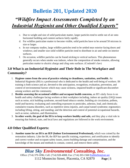## *"Wildfire Impact Assessments Completed by an Industrial Hygienist and Other Qualified Experts"*

- c. Due to weight and size of solid particulate matter, larger particles tend to settle out of air onto horizontal building and content surfaces fairly rapidly.
- d. For wildfire particulate matter to become visible, solid particles have to be around 50 microns in size or larger.
- e. In our company studies, large wildfire particles tend to be settled near exterior facing doors and windows; and smaller size solid wildfire particles tend to distribute in air and settle on interior surfaces.
- f. On occasion, wildfire particles can be found sticking to vertical surfaces. This phenomenon generally occurs when smoke was indoors, where the composition of smoke remains, allowing particulate matter to electric charge and cling onto surfaces. (Coulomb's law)

#### **3.0 What is an Industrial Hygienist and Their Role in The Workplace and Community?**

- 1. **Hygiene comes from the area of practice relating to cleanliness, sanitation, and health.** An Industrial Hygienist (IH) is a professional who is dedicated to the health and well-being of workers. IH training is both science and art, devoted to the anticipation, recognition, evaluation, prevention, and control of environmental factors which may cause sickness, impaired health or significant discomfort among workers and the community.
- 2. **Besides assessing the occasional wildfire and occupant health concerns,** an IH's daily focus is on health and safety challenges facing workers at their workplace including, indoor air quality (IAQ) issues such as noise, sick building syndrome, second-hand tobacco smoke, building air circulation, pollens, mold and bacteria; evaluating and controlling exposures to pesticides, asbestos, lead, and chemicals; cumulative trauma disorders, such as repetitive stress injuries, and carpal tunnel syndrome; ergonomics including lifting, sitting, and standing; and the detection and control of potential occupational hazards, such as noise, radiation, and illumination.
- 3. **In other words, the goal of the IH is to keep workers healthy and safe,** and they play a vital role in ensuring that federal, state, and local laws and regulations are followed in the work environment.

#### **4.0 Other Qualified Experts:**

1. **Another name for an IH is an IEP (Indoor Environmental Professional),** which was coined by the restoration industry. Like the IH, the IEP has specific training, experience, and certification to identify and correct worker and occupant safety issues, assess building damage and contamination, and the knowledge of the means and methods to contain, control, and remove them safely.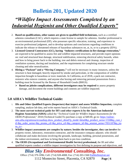# *"Wildfire Impact Assessments Completed by an Industrial Hygienist and Other Qualified Experts"*

- 2. **Based on qualifications, other names are given to qualified field technicians,** such as a certified asbestos consultant (CAC), which requires a state license to sample for asbestos. Another professional is an environmental professional (EP), who possesses specific education, training, and experience to exercise professional judgment, and to develop opinions and conclusions regarding conditions to indicate the release or threatened releases of hazardous substances on, at, in, or to a property (EPA).
- 3. **Licensed General Contractors (GC), having "industry certifications in fire damage restoration,"** are expected to be qualified to assess fire and wildfire impacted structures, and provide expert opinions on: roof and structural heat damage, structural stabilization, removing electrical safety hazards, when and how to bring power back to the building, tree and debris removal and cleanup, inspection of ventilation systems, ducting and insulation, and the requirements for completing structure smoke cleaning and odor neutralization.
- 4. **Hiring a "Packout" and a "Moving Company,"** will not be necessary in many instances, unless the structure is heat damaged, heavily impacted by smoke and particulate, or the composition of wildfire impaction brought in hazardous or toxic materials. In California, as of 2018, a pack out contractor, restorers who remove contents, and anyone else boxing and removing personal possessions from a building must be licensed by the Bureau of Household Goods (BHGS).
	- ➢ **Based on jobsite complications, different investigators may be required** to assess property damage, and document the extent buildings and contents are wildfire impacted.

#### **5.0 AIHA's Wildfire Technical Guide:**

- 1. **IHs and Other Qualified Experts (Inspectors) that inspect and assess Wildfire Impaction,** complete sampling, analyze lab data, and write reports based on AIHA's Technical Guide.
- 2. **The most current technical guide for IH's and other experts is by the American Industrial Hygiene Association (AIHA)** called the "*Technical Guide for Wildfire Impact Assessments for the OEHS Professional*," 2018 (Technical Guide}To purchase a copy at \$49.00, go to: [https://online](https://online-ams.aiha.org/amsssa/ecssashop.show_product_detail?p_mode=detail&p_product_serno=1558&p_cust_id=&p_order_serno=&p_promo_cd=&p_price_cd=&p_category_id=&p_session_serno=7051107&p_trans_ty=)[ams.aiha.org/amsssa/ecssashop.show\\_product\\_detail?p\\_mode=detail&p\\_product\\_serno=1558&p\\_cust\\_i](https://online-ams.aiha.org/amsssa/ecssashop.show_product_detail?p_mode=detail&p_product_serno=1558&p_cust_id=&p_order_serno=&p_promo_cd=&p_price_cd=&p_category_id=&p_session_serno=7051107&p_trans_ty=) [d=&p\\_order\\_serno=&p\\_promo\\_cd=&p\\_price\\_cd=&p\\_category\\_id=&p\\_session\\_serno=7051107&p\\_tra](https://online-ams.aiha.org/amsssa/ecssashop.show_product_detail?p_mode=detail&p_product_serno=1558&p_cust_id=&p_order_serno=&p_promo_cd=&p_price_cd=&p_category_id=&p_session_serno=7051107&p_trans_ty=) ns  $ty=$
- 3. **Wildfire impact assessments are complex by nature; besides the investigator, they can involve** the property owner, laboratory, restoration contractor, and the insurance company adjuster, who should collaborate and make decisions involving the grounds, landscape, building, personal possessions, and the indoor environment, and how to bring them back to pre-loss condition.
- 4. **The OEHS (Occupational and Environmental Health Service) professional,** the IH and other qualified experts conduct a wildfire impact investigation by first defining its purpose and objectives, and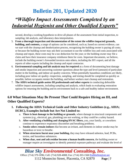## *"Wildfire Impact Assessments Completed by an Industrial Hygienist and Other Qualified Experts"*

second, develop a working hypothesis to drive all phases of the assessment from initial inspection, to sampling, lab analysis, and laboratory data interpretation.

- 5. **From a thorough inspection and documentation of the extent the wildfire impacted grounds, building, and contents,** a range of options can be considered, such as; based on current evidence, can we start with the cleanup and deodorization process, recognizing the building owner is paying all costs; or because the building owner may ask their accountant to use the wildfire loss and costs associated with cleanup and repair, these costs may be a tax deduction for the year; or the building owner may file a claim and have their insurance company reimburse them for costs. Important documents, we believe, include the building owner's forwarded invoices onto others, including the IH's report, and all the reports of other experts including the cleanup and repair contractor.
- 6. **Environmental sampling and lab analysis may be required** as a form of documenting heat damage and smoke impaction and answering customer questions about the type and level (amount) of particulate matter in the building, and indoor air quality concerns. When potentially hazardous conditions are likely, including poor indoor air quality--inspection, sampling, and testing should be completed as quickly as possible, before occupants reenter the building, and before workers start cleanup and restoration.
- 7. **The AIHA technical guide assists IH professionals and other experts** in conducting defensible wildfire impact assessments, including sampling and analysis, which leads to evaluating restoration options for returning the building and its environment back to a safe and healthy indoor environment.

#### **6.0 What Situations May Be Present That Could Require Hiring an IH, and Other Qualified Experts?**

- **1. Following the AIHA Technical Guide and Other Industry Guidelines (e.g., AIHA; IICRC), Examples Include but Are Not Limited to:**
	- a. **There is heat damage to the building or grounds**, where damage to structural components and systems (e.g., electrical, gas, plumbing) are not working, or they could be a safety hazard.
	- b. **After ventilating a building and changing HVAC filters,** you, your family, or coworkers continue to experience respiratory discomfort and breathing problems.
	- c. **Smoke odors remain indoors** that become an irritant, and elements in indoor smoke may be hazardous or toxic to breathe.
	- d. **When structures burnt near your building,** they may have released asbestos, lead, PCBs, toxins, and hazardous substances.
	- e. **When char, soot and ash residue become a human health concern**, the building owner or manager require an investigator to identify potential exposure pathways and evaluate the level of

### *Blue Sky Environmental Consulting, Inc.*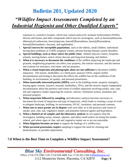## *"Wildfire Impact Assessments Completed by an Industrial Hygienist and Other Qualified Experts"*

exposure to a sensitive receptor, which may contain polycyclic aromatic hydrocarbons (PAHs), dioxins and furans; and other compounds which may be carcinogenic, such as benz[a]anthracene, dibenzo[a,h] anthracene, benzo[a]pyrene, benzo[b]fluoranthene, benzo[j]fluoranthene, benzo[k]fluoranthene, chrysene, and naphthalene.

- f. **Special concern for susceptible populations**, such as the elderly, small children, individuals having heart problems or COPD, pregnant women, persons having immune system disorders.
- g. **Special buildings, such as those where the public enter**, children daycare centers, hospitals, schools, nursing homes, senior citizen daycare and long-term housing, and shelters.
- h. **When it is necessary to document the conditions** of the wildfire impacting the landscape and grounds, neighboring properties can affect your property, the exterior structure, and the interior and contents for insurance, real estate, and tax purposes.
- i. **When a visual inspection and photographs alone are not sufficient** to document wildfire impaction. The insurer, lienholders, or a third-party assessor (TPA), require further documentation and testing to document the effects the wildfire has on the conditions of the building, its environment, air quality, and personal possessions.
- j. **When materially interested parties (MIPs),** such as the building owner, property managers, leasing agent, tenants, insurers, insureds, lienholders, TPAs, and the restorer require independent documentation about the presence and extent of wildfire impaction involving smoke, soot, char, ash and vegetative matter impacting the exterior, interior, ventilation system, insulation and personal property.
- k. **When inspection followed by sampling,** and laboratory analysis becomes necessary to document the extent of impaction and type of impaction, which leads to creating a scope of work to mitigate landscape, building, its environment, HVAC, insulation, and personal contents.
- l. **When one or more parties are in dispute** with each other as to the presence and extent of smoke, soot, char, ash, vegetative matter, and potential chemical agents and byproducts.
- m. **When a limited set of samples and the laboratory analysis** do not support what the investigator, building owner, tenants, adjuster, and others smell and/or see being fire-smoke related, and where signs of char, ash and vegetative matter are or are not noticeable.
- n. **When litigation becomes an issue** to support the findings of a wildfire loss.
- o. **When personal possessions require** sampling to support the need for cleaning and deodorization, or possible replacement.

#### **7.0 When is the Best Time to Complete a Wildfire Impact Assessment?**

*Blue Sky Environmental Consulting, Inc.* Office: (714) 379-1096; Cell: (714) 928-4008; Fax: (714) 203-1560 [PatMoffett@att.net](mailto:PatMoffett@att.net)

1112 Montecito Street, Placentia, CA 92870 **Page | 8**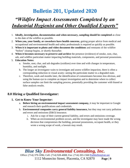## *"Wildfire Impact Assessments Completed by an Industrial Hygienist and Other Qualified Experts"*

- 1. **Ideally, investigation, documentation and when necessary, sampling should be completed** as close to the date of the wildfire as possible.
- 2. **When you, your family, or coworkers have health concerns**, getting proper advice from medical and occupational and environmental health and safety professionals is required as quickly as possible.
- 3. **When it is important to photo and video document the conditions** and remnants of the wildfire "before" cleanup begins, or shortly thereafter.
- 4. **When it becomes necessary to preserve and archive** the presence (evidence) of smoke, soot, char, ash, and wildfire particulate matter impacting building materials, components, and personal possessions.

#### 5. **Education Notes:**

- a. Smoke, soot, char, and ash degrades (oxidizes) over time and with changes in temperature, humidity, and sunlight.
- b. The longer an investigator waits to investigate and assess wildfire impaction, there is often a corresponding reduction in visual acuity--seeing the particulate matter in a degraded state.
- c. Therefore, week and months later, the identification of contaminates becomes less obvious, and using the human eye to complete an impact investigation and to determine where to collect surface samples can limit the sampling process, potentially providing the customer with biased or false analysis results.

#### **8.0 Hiring a Qualified Investigator:**

#### **1. Get to Know Your Inspector:**

- a. **Before hiring an environmental impact assessment company,** it may be important to Google and research their qualifications and credentials.
- b. **Environmental companies carry general liability insurance,** but they may not carry pollution and errors and omissions (E&O) insurance.
	- i. Ask for a copy of their current general liability, and errors and omissions coverage.
	- ii. When an environmental problem occurs, and the investigator may have made the wrong decision that compromises the building, personal possessions, occupant health, or they wrote a wrong scope of work, a lawsuit may result.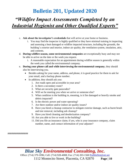## *"Wildfire Impact Assessments Completed by an Industrial Hygienist and Other Qualified Experts"*

- c. **Ask about the investigator's credentials** that will arrive at your home or business.
	- i. You may find the inspector is highly qualified or they have minimal training in inspecting and assessing a heat damaged or wildfire impacted structure, including the grounds, the building's exterior and interior, indoor air quality, the ventilation system, insulation, attic, and contents.
- d. **During wildfire season, some environmental companies** are exceptionally busy and may not be able to arrive on the date or the week you request.
	- i. A reasonable expectation for an appointment during wildfire season is generally within the week you called the environmental company.
- e. **During your phone call and while interviewing the environmental company**, they should also be interviewing you.
	- Besides asking for your name, address, and phone, it is good practice for them to ask for your email, and a backup phone number.
	- In addition, they should ask you:
		- 1. Are roads open and accessible in your area?
		- 2. Is there a secondary route?
		- 3. What are security gate passcodes?
		- 4. Will we be meeting you when we arrive or someone else?
		- 5. What condition is the building in, meaning, is it fire damaged or heavily smoke and debris impacted?
		- 6. Is the electric power and water operating?
		- 7. Are there outdoor and/or indoor air quality issues?
		- 8. Have you hired a cleanup contractor to mitigate exterior damage, such as burnt brush and tree removal, including ash cleanup?
		- 9. Have you hired cleaning and deodorization company?
		- 10. Are you able to live or work in the building?
		- 11. Did you file an insurance claim; if yes, who is your insurance company, claim number, name, and contact information of your adjuster?

################

*Blue Sky Environmental Consulting, Inc.*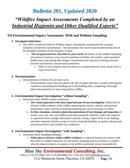## *"Wildfire Impact Assessments Completed by an Industrial Hygienist and Other Qualified Experts"*

#### **9.0 Environmental Impact Assessment: With and Without Sampling:**

#### **1. Occupant Interview:**

- a. The AIHA Technical Guide for Wildfire Impact Assessments recommends the occupant completes an interview questionnaire. This documents the concerns and should become one of the foundation elements in the inspector's report.
	- i. **The occupant interview describes in your words,** the history of the wildfire impacting your home or business; your concerns and those of family and workers' about potential health issues; and among other things, it documents your concerns involving structure (exterior and interior), and personal possessions.
		- 1. (Note, if your inspector does not have an occupant interview form, email us for a copy of our form.)

#### **2. Documentation:**

- a. Documentation is the key for all future work.
	- i. Documentation starts with your phone call, the occupant interview, visually assessing the conditions surrounding the building and in the building; then, completing a thorough photo documentation of areas impacted by wildfire.

#### **3. Environmental Impact Investigation "without Sampling":**

- a. Discussion about Wildfire Impact Inspection:
	- i. **The visual inspection is the most important part of any investigation**. When there is obvious visible evidence of the wildfire impacting the exterior, interior, and personal possessions, costly and time-consuming sampling may not be necessary to collect.
	- ii. **In these situations, extensive photo documentation of heat damage and impaction** of smoke, soot, char, ash, and wildfire particulate should be sufficient, where the inspector is expected to have enough information to justify writing a report of his or her findings, and when required, include a scope of work to bring the building, air quality and personal possessions back to pre-wildfire loss conditions.

#### **4. Environmental Impact Investigation "with Sampling":**

- a. Discussion about Sampling Strategies:
	- i. **When there is obvious visible wildfire evidence,** or when the human eye cannot verify the extent of wildfire impaction, air and surface sampling may be necessary to confirm what the inspector knows or suspects to be wildfire particulate versus household dirt.

### *Blue Sky Environmental Consulting, Inc.*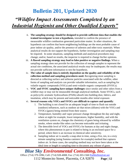# *"Wildfire Impact Assessments Completed by an Industrial Hygienist and Other Qualified Experts"*

- ii. **The sampling strategy should be designed to provide sufficient data that enables the trained investigator to test a hypothesis,** intended to confirm the presence of measurable wildfire combustion generated particulate matter. In other situations, the hypothesis can confirm that burnt neighboring buildings are the most probable cause of poor indoor air quality, and/or the presence of asbestos and other toxic materials. When analytical results do not support the hypothesis, further investigation and sampling may be required. In some situations, sampling methods and analytical procedures may change; and/or, based on results, the inspector is required to change his/her opinions.
- iii. **A flawed sampling strategy may lead to false positive or negative findings.** When a sampling strategy does not provide for the collection of enough samples to represent the actual site conditions, the associated analytical results may be inadequate; the results may not provide sufficient information to test the hypothesis.
- iv. **The value of sample data is entirely dependent on the quality and reliability of the collection method and sampling procedures used.** Recognizing most sampling is directed at collecting surface and airborne particles associated with the wildfire, other forms of sampling and analysis can provide valuable information, such as sampling for volatile organic compounds (VOCs) and semi-volatile organic compounds (SVOCs).
- v. **VOC and SVOC sampling have unique challenges** since smoke and other odors from a wildfire may or may not be measurable through analytical methods. Some SVOCs, such as polycyclic aromatic hydrocarbons (PAHs) absorb into building dust, fabrics, and insulation, which may be present and noticeable months after initial exposure.
- vi. **Several reasons why VOCs and SVOCs are difficult to capture and quantify**:
	- 1. The building is not closed for an adequate length of time to flush out outside (outdoor) influences, such as outdoor air that mixes (dilutes) with the VOCs and SVOCs (gases) being emitted from their source.
	- 2. Temperature, humidity and vapor pressure change throughout the day and night, where at night for example, lower temperatures, higher humidity, and with the ventilation system on, changes the chemistry of gases being released by wildfire smoke, where smoke-like odors can become noticeable and irritating.
	- 3. The detectible level of VOCs and SVOCs for humans at day and night change, where this phenomenon in part is related to being in an enclosed space for a period, where there is an increase in chemical odor sensitivity.
	- 4. Sampling indoor air is usually a snap-shot in time, using a five, ten, to a sixty minute sampling (using Summa canisters for example) method that captures indoor air. In these cases, the sampling method may not have been taken at the ideal time or length in sampling time to document any release of gases.

#### *Blue Sky Environmental Consulting, Inc.*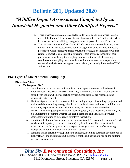# *"Wildfire Impact Assessments Completed by an Industrial Hygienist and Other Qualified Experts"*

- 5. There wasn't enough samples collected under ideal conditions, where in some parts of the building, there was a statistical measurable change in the data, where in other parts of the building, changes in types of gases did not shift or occur.
- 6. The lab's measurement of VOCs and SVOCs are at non-detectible levels, even though humans can detect smoke odors through their olfactory lobe. Olfactory perception, while subjective unless proven otherwise, is an indicator of wildfire residue's impact to an occupiable structure. There are many theories for this phenomena, some being, the sampling time was not under ideal sampling conditions; the sampling method and collection times were not adequate; the requested analysis were not appropriate to identify extremely low-levels of VOCs and SVOCs.

#### **10.0 Types of Environmental Sampling:**

#### **1. Discussion Points:**

#### **a. To Sample or Not?**

- i. Once the investigator arrives, and completes an occupant interview, and a thorough wildfire impact inspection and assessment, they should have sufficient information to consult with you on whether collecting environmental samples are reasonable and appropriate option or not.
- ii. The investigator is expected to have with them multiple types of sampling equipment and media, and their sampling strategy should be formulated based on known conditions the community experienced as reported in the news, and the customer's interview.
- iii. The cost in collecting samples is not inexpensive (often, in the thousands of dollars), and it is important to determine whether the goal in sampling and analysis can provide additional information to the already completed inspection.
- iv. Sometimes the building owner and the investigator is obliged to complete sampling, such as when a third-party (e.g., insurer, attorney) requires the data. This means that the inspection and analysis opinions of the expert investigator must be confirmed using appropriate sampling and laboratory analysis methods.
- v. Sampling is also driven by occupant health concerns, including questions about indoor air quality (IAQ), and questions about the impact smoke and particulate has on the building and personal contents.

#### *Blue Sky Environmental Consulting, Inc.* Office: (714) 379-1096; Cell: (714) 928-4008; Fax: (714) 203-1560 [PatMoffett@att.net](mailto:PatMoffett@att.net)

1112 Montecito Street, Placentia, CA 92870 **Page | 13**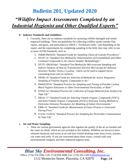## *"Wildfire Impact Assessments Completed by an Industrial Hygienist and Other Qualified Experts"*

#### **b. Industry Standards and Guidelines:**

- i. Currently, there are no industry standards for assessing wildfire damaged and smoke impacted buildings. There are guidelines for collecting wildfire smoke (smoke film, vapors, and gases, and particulate) in AIHA's "Technical Guide," and depending on the expert, and the requirements for completing sampling in the field, they may refer to one or more ASTM Standards, such as:
	- 1. D4840-99(2010) "*Standard Guide for Sampling Chain-of-Custody Procedures.*"
	- 2. D5197-16 "*Standard Test Method for Determination of Formaldehyde and Other Carbonyl Compounds in Air (Active Sampler Methodology)*."
	- 3. D5755 -09(2014)e1 "*Standard Test Method for Microvacuum Sampling and Indirect Analysis of Dust by Transmission Electron Microscopy for Asbestos Structure Number Surface Loading"* which can be used to support microvacuuming loose soot on surfaces.
	- 4. D6345-10 "*Standard Guide for Selection of Methods for Active, Integrative Sampling of Volatile Organic Compounds in Air.*"
	- 5. D6602(2018) "*Standard Practice for Sampling and Testing of Possible Carbon Black Fugitive Emissions or Other Environmental Particulate, or Both.*"
	- 6. D7910-14 "*Standard Practice for Collection of Fungal Material from Surfaces by Tape Lift.*"
	- 7. D8141-17 "*Standard Guide for Selecting Volatile Organic Compounds (VOCs) and Semi-Volatile Organic Compounds (SVOCs) Emission Testing Methods to Determine Emission Parameters for Modeling of Indoor Environments.*"
	- 8. E800-14 "*Standard Guide for Measurement of Gases Present or Generated During Fires*."
	- 9. E1216-11(2016) "*Standard Practice for Sampling for Particulate Contamination by Tape Lift.*"

#### **c. Air and Water Sampling:**

i. There are various government agencies that regulate the quality of the air we breathe and the water we drink, which are not included in this bulletin. Wildfires are known to have released chemicals and toxins in air and have fouled drinking water from rivers, streams, city water and wells. If you are concerned about these issues, consult with your environmental company and their industrial hygiene team.

#### *Blue Sky Environmental Consulting, Inc.*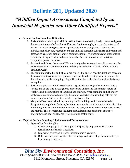### *"Wildfire Impact Assessments Completed by an Industrial Hygienist and Other Qualified Experts"*

#### **d. Air and Surface Sampling Difficulties:**

- i. Surface and air sampling of wildfire residue involves collecting foreign matter and gases that were not present before the wildfire. Smoke, for example, is a complex mixture of particulate matter and gases, such as particulate matter brought into a building that includes soot, char, ash, vegetation and organic and inorganic substances; and vapors and gases, such as carbon dioxide, water, carbon monoxide, hydrocarbons and other organic chemicals, nitrogen oxides, and trace minerals. There are thousands of individual compounds present in smoke.
- ii. As mentioned above, there are ASTM standard guides for several sampling methods. For a discussion about specific sampling, and the plus and minus of each, refer to AIHA's Technical Guide.
- iii. The sampling method(s) and lab data are expected to answer specific questions based on the customer interview and assignment; when the data does not provide or produce the desired results, further sampling using different methods of collection and analysis may be required.
- iv. Surface sampling for wildfire combustion byproducts and vegetative matter is both a science and an art. The investigator is expected to understand the complex nature of wildfires and the limitations of sampling and analysis. When sampling and laboratory analysis are not completed correctly, the sample collection and resulting data can be skewed, producing false positive or false negative results.
- v. Many wildfires leave behind vapors and gases in buildings which are expected to dissipate fairly rapidly in fresh air, but there are a number of VOCs and SVOCs that cling to building finishes and bind with materials and dust, which can remain for days, weeks and months. These compounds including particulate matter, can be the source of lingering smoke odor and the source of potential health issues.

#### **e. Types of Surface Sampling, Limitations and Documentation:**

- i. Types of Surface Sampling:
	- 1. Chemical wipes (e.g., Ghost wipes, and specially prepared wipes) for the identification of chemical residues.
	- 2. Dry matter collection methods including micro-vacuum.
	- 3. Bulk materials, such as when there is a large collection of particulate matter, or heat damaged materials.

#### *Blue Sky Environmental Consulting, Inc.*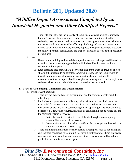# *"Wildfire Impact Assessments Completed by an Industrial Hygienist and Other Qualified Experts"*

- 4. Tape lifts (tapelifts) are the majority of samples collected at a wildfire impacted building, because they have proven to be an effective sampling method for collecting particles such as ash, soot, char and other signature particles, which are the primary indicators of wildfire affecting a building and personal possessions. Unlike other sampling methods, properly applied, the tapelift technique preserves the relative position, density, size, and shape of particles, as well as the population per unit area.
- ii. Notes:
	- 1. Based on the building and materials sampled, there are challenges and limitations to each of the above sampling methods, which should be discussed with the customer and in reports.
	- 2. Each sampling area should have a corresponding photograph or group of photos showing the material to be sampled, sampling method, and the sample with its identification number, which can be found on the chain of custody. It is recommended that the report should have photos showing where each sample was collected either in the body of the report or attached as an appendix.

#### **f. Types of Air Sampling, Limitations and Documentation:**

- i. Types of Air Sampling:
	- 1. There are two general types of air sampling, one for particulate matter and the other for gases.
	- 2. Particulate and gases require collecting indoor air from a controlled space that was sealed for no less than 8 to 12 hours from surrounding rooms or outside influences, where fans or air conditioning are not operating in the environment to be sampled. Then, when required, fans and air conditioning can be turned on, and the sampling regime is repeated.
		- a. Particulate matter is extracted out of the air through a vacuum pump, where a filter media is in a cassette.
		- b. Gases in air can be collected on specific carbon adsorption tube media, in a Summa canister, or a Tedlar bag.
	- 3. There are inherent limitations when collecting air samples, such as not having an environment conducive for sampling, not having control samples from unaffected environments, and sampling in a community that remains impacted by airborne particulate and smoke vapors and gases.

## *Blue Sky Environmental Consulting, Inc.*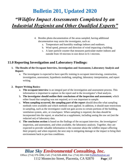## *"Wildfire Impact Assessments Completed by an Industrial Hygienist and Other Qualified Experts"*

- 4. Besides photo documentation of the areas sampled, having additional documentation may assist the investigator, such as:
	- a. Temperature and humidity readings indoors and outdoors.
	- b. Wind speed, pressure and direction of wind impacting a building.
	- c. A laser particle counter that measures particulate matter indoors and outside from 10 microns in size down to 0.1 microns.

#### **11.0 Reporting Investigation and Laboratory Findings:**

- **1. The Results of the Occupant Interview, Investigation and Assessment, Laboratory Analysis and Report:**
	- a. The investigator is expected to have specific training in occupant interviewing, construction, investigation, assessment, hypothesis modeling, sampling, laboratory interpretation, and report writing.

#### **2. Report Writing Basics:**

- a. **The occupant interview** is an integral part of the investigation and assessment process. This information is important to capture in the report and in the investigator's final analysis.
- b. **The investigator should outline their conclusions of the inspection and assessment,** which either found that sampling was not required, or it was important to sample.
- c. **When sampling occurred, the sampling part of the report** should describe what sampling methods were available and which methods were applied. In addition, it should state restrictions in sampling, such as the investigator could not gain access to certain portions of the building, ventilation system, attic, or crawlspace. When sampling is required, the data should be incorporated into the report, or attached as a supplement, including seeing the raw set (not the redacted set) of laboratory data.
- d. **The conclusion section** is based on the findings of the occupant interview, the investigators' inspection, and assessment, and when available, the laboratory analysis. Together, they are expected to provide valuable information to the customer about the wildfire impact affecting their property and when required, the next step in mitigating damage or the impact to bring their environment back to pre-loss conditions.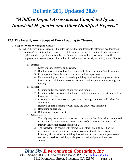### *"Wildfire Impact Assessments Completed by an Industrial Hygienist and Other Qualified Experts"*

#### **12.0 The Investigator's Scope of Work Leading to Closure:**

#### **1. Scope of Work Writing and Closure:**

- a. When the investigator is required to establish the direction leading to "cleaning, deodorization, and repair"; or, "it is not necessary to complete some processes of cleaning, deodorization and repair" in their scope of work for others to follow, it is assumed, the inspector is qualified, competent, and credentialed to direct others in performing their work, including, but not limited to:
	- i. Exterior:
		- 1. Exterior debris removal and cleanup.
		- 2. Building washing, lawn furniture cleaning, deck, and swimming pool cleaning.
		- 3. Cleanup after Phos-Chek and other fire-retardant impactions.
		- 4. Recommending or not recommending building repair and painting, such as from heat damage, and thermal pressures affecting windows, doors, decks, siding, and roofing.
	- ii. Interior:
		- 1. Cleaning and deodorization of structure and furniture.
		- 2. Cleaning and deodorization of soft goods including draperies, carpets, upholstery, linens, and clothing.
		- 3. Cleaning of mechanical HVAC systems and ducting, bathroom and kitchen fans and ducting.
		- 4. Removal and replacement of wall, attic, and crawlspace insulation.
		- 5. Repainting and repair.
		- 6. Refinishing or replacement.
	- iii. Administrative:
		- 1. The only way the inspector knows the scope of work they directed was completed to their satisfaction, is through one or more verification site assessments and/or through verification clearance sampling.
		- 2. The inspector is to consult with their customer their findings, based on the occupant interview, their inspection and assessment, and when necessary laboratory findings that the building, its environment, and personal possessions are back to pre-loss condition, or the goals of their assignment have been achieved.

### *Blue Sky Environmental Consulting, Inc.*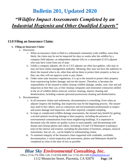### *"Wildfire Impact Assessments Completed by an Industrial Hygienist and Other Qualified Experts"*

#### **13.0 Filing an Insurance Claim:**

#### **1. Filing an Insurance Claim:**

- a. Discussion:
	- i. When an insurance claim is filed in a substantial community-wide wildfire, more than likely, the claim may be not be inspected for days or weeks after the wildfire by a company field adjuster, an independent adjuster (IA) or a catastrophe (CAT) adjuster who may have come from out of state.
	- ii. Unlike a company adjuster, the IA or CAT adjuster are often fact-gathers, who may or may not have claims management authority. Meaning, they may not have the authority to direct the insured what to do, other than advise them to protect their property as best as they can; they will not approve work or pay claims.
	- iii. Under some state insurance regulations, it is up to the insured to protect their property from experiencing further damage, and not the insurer. Therefore, it becomes the responsibility of the insured to either cleanup wildfire damage, smoke, soot, char and ash impaction as best they can, or hire cleanup companies and restoration contractors skilled in the art of wildfire debris removal, exterior cleaning, interior cleaning and deodorization, including contents (personal possession) cleaning and deodorization.
- b. Documentation:
	- i. In all insurance claims and settlements, documentation is everything. Even when an adjuster inspects the building, that inspection may be the beginning process. The insurer may need to hire others, such as contractors and environmental professionals to inspect and assess damage and impaction, and when required, complete sampling.
	- ii. In large or complicated wildfire damage assessments, the insured may benefit by getting a second opinion involving damage to their property, including the presence of environmental contamination from burnt neighboring buildings. It is important to document why the indoor air quality is poor to unacceptable, and documenting with distant and closeup photos and videos, including 2-D and 3-D Matterport scanning (a tour) of the interior and exterior, including the placement of furniture, antiques, musical instruments, fine art, etc., can be helpful in substantiating claims.
	- iii. To maintain integrity of the insurance claim supported with creditable, verifiable, documentation, a visual inspection and assessment, photos and Matterport should be completed as close to the time of loss as possible.

#### *Blue Sky Environmental Consulting, Inc.*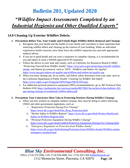## *"Wildfire Impact Assessments Completed by an Industrial Hygienist and Other Qualified Experts"*

#### **14.0 Cleaning Up Exterior Wildfire Debris:**

- **1. Precautions Before You, Your Family and Friends Begin Wildfire Debris Removal and Cleanup:**
	- a. Recognize that your health and the health of your family and coworkers is more important than removing wildfire debris and cleaning up the exterior of your building. When an individual experiences health concerns, have them leave the wildfire impacted area and seek appropriate medical advice.
	- b. If you are in good health and can wear a respirator to complete cleanup, it is recommended for you and others to wear a NIOSH approved N-95 respirator.
	- c. Follow the advice in your state and county, such as California Air Resources Board (CARB) "*Protecting Yourself from Wildfire Smoke*" [https://ww2.arb.ca.gov/protecting-yourself-wildfire](https://ww2.arb.ca.gov/protecting-yourself-wildfire-smoke)[smoke,](https://ww2.arb.ca.gov/protecting-yourself-wildfire-smoke) and federal government, such as "*EPA – Wildfires and Indoor Air Quality*" <https://www.epa.gov/indoor-air-quality-iaq/wildfires-and-indoor-air-quality-iaq>
	- d. When you must cleanup ash, do so safely, and follow safety directions from your state, such as the California Department of Public Health "*Cleaning Up Wildfire Ash Safely*" <https://www.cdph.ca.gov/Programs/OPA/Pages/NR18-039.aspx>
	- e. For additional personal protective equipment (PPE) recommendations, go to 3M Technical Data Bulletin #182 [https://multimedia.3m.com/mws/media/882700O/3m-technical-data-bulletin-182](https://multimedia.3m.com/mws/media/882700O/3m-technical-data-bulletin-182-ppe-during-cleanup-of-residential-wildfire-debris.pdf) [ppe-during-cleanup-of-residential-wildfire-debris.pdf](https://multimedia.3m.com/mws/media/882700O/3m-technical-data-bulletin-182-ppe-during-cleanup-of-residential-wildfire-debris.pdf)

#### **2. Precautions Your Contractors Must Take in Protecting Workers During Wildfire Cleanup:**

- a. When you hire workers to complete outdoor cleanup, they must be doing so safely following OSHA and other government regulations, such as:
	- i. "*Respiratory Protection During Fire Cleanup*" [https://www.dir.ca.gov/dosh/Fire\\_Resp\\_Protection.html](https://www.dir.ca.gov/dosh/Fire_Resp_Protection.html)
	- ii. "*Worker Safety in Wildfire Regions*" [https://www.dir.ca.gov/dosh/Worker-Health-and-](https://www.dir.ca.gov/dosh/Worker-Health-and-Safety-in-Wildfire-Regions.html)[Safety-in-Wildfire-Regions.html](https://www.dir.ca.gov/dosh/Worker-Health-and-Safety-in-Wildfire-Regions.html)
	- iii. "*Personal Protective Equipment During Wildfire Cleanup*" <https://www.dir.ca.gov/dosh/wildfire/Protective-Equipment-During-Fire-Cleanup.html>
	- iv. "*Emergency Regulation on Protection from Wildfire Smoke"* [https://www.dir.ca.gov/dosh/doshreg/Protection-from-Wildfire-Smoke/Wildfire-smoke](https://www.dir.ca.gov/dosh/doshreg/Protection-from-Wildfire-Smoke/Wildfire-smoke-emergency-standard.html)[emergency-standard.html](https://www.dir.ca.gov/dosh/doshreg/Protection-from-Wildfire-Smoke/Wildfire-smoke-emergency-standard.html)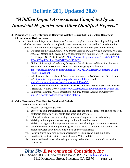## *"Wildfire Impact Assessments Completed by an Industrial Hygienist and Other Qualified Experts"*

- **3. Precautions Before Disturbing or Removing Wildfire Debris that Can Contain Hazardous Chemicals and Hydrocarbons:**
	- a. A "*Health and Safety Hazard Assessment*" must be completed before disturbing buildings and vehicles that were partially or completely burnt. Refer to your state and local jurisdiction for additional information, including codes and regulations. Examples of precautions include:
		- i. Guidance for the "*Evaluation of Fire Debris Cleanup and Employee's Exposure to Silica, Asbestos, Metals, and Polyaromatic Hydrocarbons*" is found in CDC/NIOSH document "HHE Report No. 2018-0094-3355" [https://www.cdc.gov/niosh/hhe/reports/pdfs/2018-](https://www.cdc.gov/niosh/hhe/reports/pdfs/2018-0094-3355.pdf?s_cid=102015-HETAB-RSS-001) [0094-3355.pdf?s\\_cid=102015-HETAB-RSS-001](https://www.cdc.gov/niosh/hhe/reports/pdfs/2018-0094-3355.pdf?s_cid=102015-HETAB-RSS-001)
		- ii. EPA's "*Guidance for Conducting Emergency Debris, Waste and Hazardous Material Removal Actions Pursuant to a State or Local Emergency Proclamation*" [https://calepa.ca.gov/wp-content/uploads/sites/6/2019/06/Disaster-Documents-2011yr-](https://calepa.ca.gov/wp-content/uploads/sites/6/2019/06/Disaster-Documents-2011yr-GuideRemoval.pdf)[GuideRemoval.pdf](https://calepa.ca.gov/wp-content/uploads/sites/6/2019/06/Disaster-Documents-2011yr-GuideRemoval.pdf)
		- iii. In California, also comply with "*Emergency Guidance on Wildfires, Fact Sheet #1 and #2*"<https://dtsc.ca.gov/emergency-guidance-on-wildfires-1/> and <https://dtsc.ca.gov/emergency-guidance-on-wildfires-2-2/>
		- iv. California Recycle Program "*Dangerous Debris: Potential Health Risks Associated with Residential Wildfire Debris*"<https://www2.calrecycle.ca.gov/Publications/Details/1661>
		- v. California Hazardous Waste Operations "*Wildfire Debris Cleanup and Recovery*" <https://www.calrecycle.ca.gov/disaster/wildfires>

#### **4. Other Precautions That Must Be Considered Include:**

- a. Hazards associated with:
	- i. Electrical wiring and gas lines.
	- ii. Explosions from transformers, heat damaged propane and gas tanks, and explosions from containers having solvents, paints, fertilizers, and pesticides.
	- iii. Falling debris from overhead wiring, communication poles, trees, and roofing.
	- iv. Walking on burnt ground where the ground is soft, and it caves in.
	- v. Walking through ash that exposes workers and their clothing to hazardous substances.
	- vi. Unsafe buildings, including window glass that is tempered or not, which can break or explode inwards and outwards due to heat and vibration stress.
	- vii. Recurring fires from smoldering underground tree trunks and burnt buildings.
	- viii. Breathing in air that contains chemical fumes, VOCs and SVOCs.
	- ix. Contact with rodent feces including breathing in dust that can contain viruses such as Hantavirus.

### *Blue Sky Environmental Consulting, Inc.*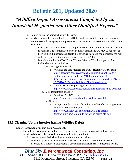## *"Wildfire Impact Assessments Completed by an Industrial Hygienist and Other Qualified Experts"*

- x. Contact with dead animals that are diseased.
- xi. Workers potentially exposed to the COVID-19 pandemic, which requires all contractors (employers) to have a program in place that protects cleanup workers and the public from exposure.
	- 1. CDC says "Wildfire smoke is a complex mixture of air pollutants that are harmful to humans. The relationship between wildfire smoke and COVID-19 has not yet been studied, but research suggests that exposure to smoke could increase the risk and severity of respiratory infections similar to COVID-19."
	- 2. More information on COVID and Worker Safety at Wildfire Impacted Areas, include but are not limited to:
		- a. Fire Management Board:
			- i. Wildland and Fire Medical and Public Health Advisory Team: [https://gacc.nifc.gov/nrcc/dispatch/equipment\\_supplies/agree](https://gacc.nifc.gov/nrcc/dispatch/equipment_supplies/agree-contract/contractor_updates/FMB_Memorandum_20-008a_Interim_Guidance_for_Prevention_of_Coronavirus_Disease_COVID-19_During_Wildland_Fire_Operations.pdf)[contract/contractor\\_updates/FMB\\_Memorandum\\_20-](https://gacc.nifc.gov/nrcc/dispatch/equipment_supplies/agree-contract/contractor_updates/FMB_Memorandum_20-008a_Interim_Guidance_for_Prevention_of_Coronavirus_Disease_COVID-19_During_Wildland_Fire_Operations.pdf) [008a\\_Interim\\_Guidance\\_for\\_Prevention\\_of\\_Coronavirus\\_Disease](https://gacc.nifc.gov/nrcc/dispatch/equipment_supplies/agree-contract/contractor_updates/FMB_Memorandum_20-008a_Interim_Guidance_for_Prevention_of_Coronavirus_Disease_COVID-19_During_Wildland_Fire_Operations.pdf) [\\_COVID-19\\_During\\_Wildland\\_Fire\\_Operations.pdf](https://gacc.nifc.gov/nrcc/dispatch/equipment_supplies/agree-contract/contractor_updates/FMB_Memorandum_20-008a_Interim_Guidance_for_Prevention_of_Coronavirus_Disease_COVID-19_During_Wildland_Fire_Operations.pdf)
			- ii. "Interim Standard Operating Procedures" <https://www.nwcg.gov/sites/default/files/docs/fmb-m-20-006a.pdf>
		- b. U.S. Department of Labor:
			- i. "Wildfires & COVID-19" <https://www.doi.gov/wildlandfire/wildfires-covid-19>
		- c. AirNow.gov
			- i. "*Wildfire Smoke: A Guide for Public Health Officials*" supplement contain information on COVID-19. [https://www.airnow.gov/publications/wildfire-smoke](https://www.airnow.gov/publications/wildfire-smoke-guide/wildfire-smoke-a-guide-for-public-health-officials/)[guide/wildfire-smoke-a-guide-for-public-health-officials/](https://www.airnow.gov/publications/wildfire-smoke-guide/wildfire-smoke-a-guide-for-public-health-officials/)

#### **15.0 Cleaning Up the Interior having Wildfire Debris:**

#### **1. Indoor Hazard Analysis and Risk Assessment:**

- a. The indoor hazard analysis and risk assessment are based in part on outside influences as mentioned above. Other considerations include but are not limited to:
	- i. How occupants feel when they enter their home or business.
	- ii. When occupants have diagnosed health effects including COPD, immune system disorders, or a diagnosis that potential environmental influences are impacting health.

### *Blue Sky Environmental Consulting, Inc.*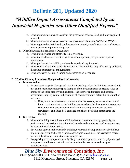## *"Wildfire Impact Assessments Completed by an Industrial Hygienist and Other Qualified Experts"*

- iii. When air or surface analysis confirm the presence of asbestos, lead, and other regulated materials.
- iv. When air or surface analysis confirm the presence of chemicals, VOCs and SVOCs.
- v. When regulated materials or hazardous waste is present, consult with state regulators on who is qualified to preform mitigation.
- b. Other Influences that can Impact Occupancy:
	- i. When potable water and electricity is not available.
	- ii. When the mechanical ventilation systems are not operating, they require repair or replacement.
	- iii. When portions of the building are heat damaged and require repair.
	- iv. When smoke odor and/or particulate matter is substantial that they affect occupant health, the indoor environment, and furnishings.
	- v. When extensive cleanup, cleaning and/or restoration is required.

#### **2. Wildfire Cleanup Procedures Completed by Professionals:**

#### **a. Documentation:**

- i. To document property damage and wildfire debris impaction, the building owner should hire an independent company specializing in photo documentation to capture video or photos of the entire property and landscape, the exterior and interior, and personal possessions. Properly completed, this form of documentation is defensible in arbitration and court.
	- 1. Note, initial documentation provides views the naked eye can see under normal light. It is incumbent on the building owner to have the documentation company consult with contractors when they are investigating ventilation systems, crawlspaces and attics, heat damaged and charred building components and roofing.

#### **b. Direct Hire:**

- i. When the building owner hires a wildfire cleanup contractor directly, generally, an environmental professional is not involved to independently inspect and assess property damage and wildfire impaction.
- ii. The written agreement between the building owner and cleanup contractor should have line items specifying what the cleanup contractor is to complete, the associated charges, and what the cleanup contractor is not going to do.
- iii. Recognizing the cleanup contractor is likely on multiple projects, where equipment and manpower could be stretched thin, make sure there is a start date and an agreed completion date.

### *Blue Sky Environmental Consulting, Inc.*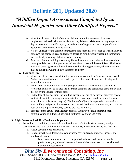## *"Wildfire Impact Assessments Completed by an Industrial Hygienist and Other Qualified Experts"*

- iv. When the cleanup contractor's trained staff are on multiple projects, they may supplement their staff with a supervisor and day laborers. Make sure having temporary day laborers are acceptable to you, since their knowledge about using proper cleanup equipment and methods may be lacking.
- v. It is not unusual for the cleanup contractor to hire subcontractors, such as waste haulers to cut down fire damaged trees and remove debris, to hiring specialty cleaning contractors, such as the dry cleaning of draperies and clothing.
- vi. At some point, the building owner may file an insurance claim, where all aspects of the cleanup and deodorization processes and associated costs will be scrutinized. The insurer may or may not agree with the work completed, including payments, where the insured may be in dispute with their own insurance company.

#### **c. Insurance Hire:**

- i. When you file an insurance claim, the insurer may ask you to sign an agreement (Work Authorization) with their recommended (preferred vendor) cleanup and cleaning and restoration contractor.
- ii. In the Terms and Conditions, likely, you gave Power of Attorney to the cleanup and restoration contractor to invoice the insurance company pre-established costs and be paid directly by the insurer for their costs.
- iii. On the face of this decision, the building owner is not out-of-pocket for expenses except for their deductible (cleaning and deodorization is not depreciated, but some forms of restoration or replacement may be). The insurer's adjuster is expected to oversee how your building and personal possessions are cleaned, deodorized and restored, and to bring your wildfire impacted property back to pre-loss condition.
- iv. Throughout the claim's management process, the insured should maintain open communication with their adjuster and contractor by phone and email.

#### **3. Light Smoke and Wildfire Particulate Impaction:**

- a. Depending on conditions, where light smoke odor and wildfire debris is present, usually particulate matter is around the interior of doors, windows, window coverings, and flooring:
	- i. HEPA vacuum loose particulate.
	- ii. Detergent wet clean doors, windows, window coverings (e.g., draperies, shades, and blinds) and flooring.
		- 1. Note, some fabric window coverings, shadow boxes and valences must be professionally dry cleaned; some cordless cellular shades are not cleanable and may require replacement.

#### *Blue Sky Environmental Consulting, Inc.*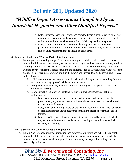## *"Wildfire Impact Assessments Completed by an Industrial Hygienist and Other Qualified Experts"*

- 2. Note, hardwood, vinyl, tile, stone, and carpeted floors must be cleaned following manufacturer recommended cleaning processes. It is recommended to clean the entire floor and in some situations, a floor finish may need to be applied.
- 3. Note, HEPA vacuuming and detergent cleaning are expected to remove particulate matter and smoke film. When smoke odor remains, further inspection and cleaning recommendations should be considered.

#### **4. Moderate Smoke and Wildfire Particulate Impaction:**

- a. Building on the above light impaction, and depending on conditions, where moderate smoke odor and wildfire debris are present, particulate matter may extend past doors, windows, window coverings, and impact surfaces inside the home or business. This condition likely came from wildfire driven weather that forces itself into the building, such as through doors, windows, soffit and roof vents, fireplace chimneys and flue, bathroom and kitchen fans and ducting, and HVAC system ducting.
	- i. HEPA vacuum loose particulate from all horizontal building surfaces, including furniture and contents having signs of visible particulate matter.
	- ii. Detergent wet clean doors, windows, window coverings (e.g., draperies, shades, and blinds) and flooring.
	- iii. Detergent wet clean other horizontal surfaces including shelves, tops of cabinets, appliances, etc.
		- 1. Note, some fabric window coverings, shadow boxes and valences must be professionally dry cleaned; some cordless cellular shades are not cleanable and may require replacement.
		- 2. Note, linens and clothing should be cleaned and deodorized when they have signs of particulate matter and/or occupants confirm the presence of smoke odor in fabrics.
		- 3. Note, HVAC systems, ducting and attic insulation should be inspected, which may require replacement of insulation and cleaning of the attic, mechanical systems, and ducting.

#### **5. Heavy Smoke and Wildfire Particulate Impaction:**

a. Building on the above moderate impaction, and depending on conditions, where heavy smoke odor and wildfire debris are present, where particulate matter is on many surfaces inside the home or business, extensive cleaning and deodorization may be required including but not necessarily limited to:

#### *Blue Sky Environmental Consulting, Inc.*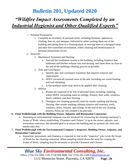## *"Wildfire Impact Assessments Completed by an Industrial Hygienist and Other Qualified Experts"*

- i. Personal Possessions:
	- 1. Complete an inventory of personal items, including furniture, appliances, clothing, fine art, and antiques, followed by either packing them out of the building and taking them to a cleaning plant, or moving them to a designed clean and odor free controlled environment, where cleaning and deodorization of personal possessions occurs.
- ii. Structure:
	- 1. Mechanical System(s) and Ducting:
		- a. Seal-off the ventilation system to the building, including fireplace flue, bathroom and kitchen exhaust fans and ducting, and clean them as close to the end of the buildings cleaning process as possible.
	- 2. Attic and Crawlspace:
		- a. Identify attic and crawlspace insulation that requires removal and replacement.
		- b. HEPA vacuum all exposed areas in the attic including raw wood framing and roof sheathing.
		- c. A flat urethane sealer may need to be applied after cleaning.
	- 3. Interior:
		- a. Rooms are expected to be free of personal items including carpeting, where HEPA vacuuming starts at ceilings, fixtures, then walls, windows, doors, cabinets, and then flooring.
		- b. Detergent wet cleaning generally starts by smoke washing and drying flooring, then smoke washing cabinets (interior and exterior), walls, windows, doors, fixtures, and ceiling. At the end of the wet cleaning process, floors are wet cleaned a second time.

#### **6. Final Walkthrough with the Building Owner, Adjuster, and Restoration Contractor:**

- a. Assuming an environmental company was not involved for overseeing the cleaning contractor's Scope of Work, where establishing "Clearance and Closure" is up to the owner, adjuster, and restoration contractor, the intended goal is to ensure the building and its systems are clean and smoke odor free.
- **7. Final Walkthrough with the Environmental Company's Inspector, Building Owner, Adjuster, and Restoration Contractor:**
	- a. Inspection, assessment, and clearance is expected to rest on the "inspector" who wrote the Scope of Work for the cleaning contractor. When sampling results drove the need for creating the Scope of Work, sampling may be necessary to provide Clearance and Closure.

### *Blue Sky Environmental Consulting, Inc.*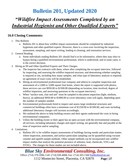## *"Wildfire Impact Assessments Completed by an Industrial Hygienist and Other Qualified Experts"*

#### **16.0 Closing Comments:**

- 1. This Bulletin:
	- a. Bulletin 201 is about how wildfire impact assessments should be completed by industrial hygienists and other qualified experts. However, there is a cross-over involving the inspection, assessment, sampling, and report writing, leading to cleaning, and restoration services.
- 2. General Reading:
	- a. Some individuals reading Bulletin 201 should find it to be informative, where they may elect to bypass hiring a qualified environmental professional, which is understood, and in some cases, it is the correct decision.
- 3. Hiring an IH and Other Qualified Experts and Their Charges:
	- a. The inspector has contracts with them, where after completing the occupant interview, followed by inspecting, and assessing the wildfire impacted structure, and determining whether sampling is required or not, including how many samples, and what type of laboratory analysis is required, an agreement of exact costs will be established.
	- b. Hiring an environmental professional (our company and others) to complete inspection and assessment of a 2,000 to 3,000 square foot home, where the report is supported with photos, these services can cost \$950.00 to \$1500.00 (depending on location, time involved, degree of wildfire impaction, and answering questions in the occupant interview).
	- c. When "surface soot, char and ash" must be sampled to document impaction (light, medium, heavy), an additional \$950.00 to \$1800.00 to cover laboratory costs will apply, depending upon the number of samples needed.
	- d. Environmental professionals hired to inspect and assess large residential structures and commercial buildings often have a minimum cost of \$1250.00 to \$1500.00, and costs including additional laboratory charges will increase accordingly.
	- e. We outlined the above to help building owners and their agents understand the costs in hiring environmental companies.
	- f. Unless the building owner or their agent has an open account with the environmental company, all services, including laboratory charges and report writing, are generally due and payable at the time of inspection and/or sampling.
- 4. Limitations:
	- a. Bulletin 201 is for wildfire impact assessments of buildings having smoke and particulate matter, where inspection, assessment, and surface particulate sampling can be quantified using vacuum cassette and tapelift sample methods. Other sample methods can be incorporated into wildfire impact studies that analyze the potential presence of asbestos, lead, chemicals, VOCs and SVOCs. The charges for those studies are not included above.